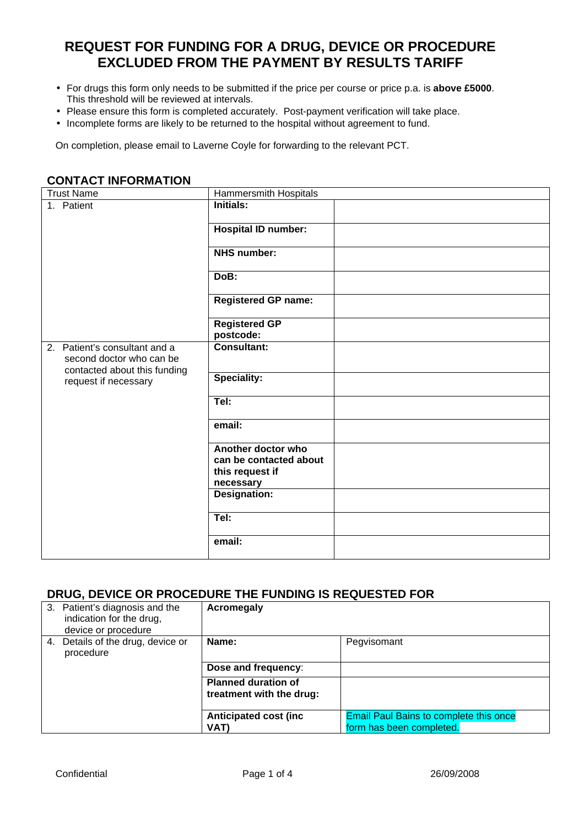## **REQUEST FOR FUNDING FOR A DRUG, DEVICE OR PROCEDURE EXCLUDED FROM THE PAYMENT BY RESULTS TARIFF**

- For drugs this form only needs to be submitted if the price per course or price p.a. is **above £5000**. This threshold will be reviewed at intervals.
- Please ensure this form is completed accurately. Post-payment verification will take place.
- Incomplete forms are likely to be returned to the hospital without agreement to fund.

On completion, please email to Laverne Coyle for forwarding to the relevant PCT.

| <b>Trust Name</b>                                                                         | <b>Hammersmith Hospitals</b>                                                 |  |
|-------------------------------------------------------------------------------------------|------------------------------------------------------------------------------|--|
| 1. Patient                                                                                | <b>Initials:</b>                                                             |  |
|                                                                                           | <b>Hospital ID number:</b>                                                   |  |
|                                                                                           | <b>NHS number:</b>                                                           |  |
|                                                                                           | DoB:                                                                         |  |
|                                                                                           | <b>Registered GP name:</b>                                                   |  |
|                                                                                           | <b>Registered GP</b><br>postcode:                                            |  |
| 2. Patient's consultant and a<br>second doctor who can be<br>contacted about this funding | <b>Consultant:</b>                                                           |  |
| request if necessary                                                                      | <b>Speciality:</b>                                                           |  |
|                                                                                           | TeI:                                                                         |  |
|                                                                                           | email:                                                                       |  |
|                                                                                           | Another doctor who<br>can be contacted about<br>this request if<br>necessary |  |
|                                                                                           | Designation:                                                                 |  |
|                                                                                           | TeI:                                                                         |  |
|                                                                                           | email:                                                                       |  |

## **CONTACT INFORMATION**

## **DRUG, DEVICE OR PROCEDURE THE FUNDING IS REQUESTED FOR**

|    | 3. Patient's diagnosis and the<br>indication for the drug,<br>device or procedure | Acromegaly                                             |                                                                           |
|----|-----------------------------------------------------------------------------------|--------------------------------------------------------|---------------------------------------------------------------------------|
| 4. | Details of the drug, device or<br>procedure                                       | Name:<br>Dose and frequency:                           | Pegvisomant                                                               |
|    |                                                                                   | <b>Planned duration of</b><br>treatment with the drug: |                                                                           |
|    |                                                                                   | <b>Anticipated cost (inc.</b><br>VAT)                  | <b>Email Paul Bains to complete this once</b><br>form has been completed. |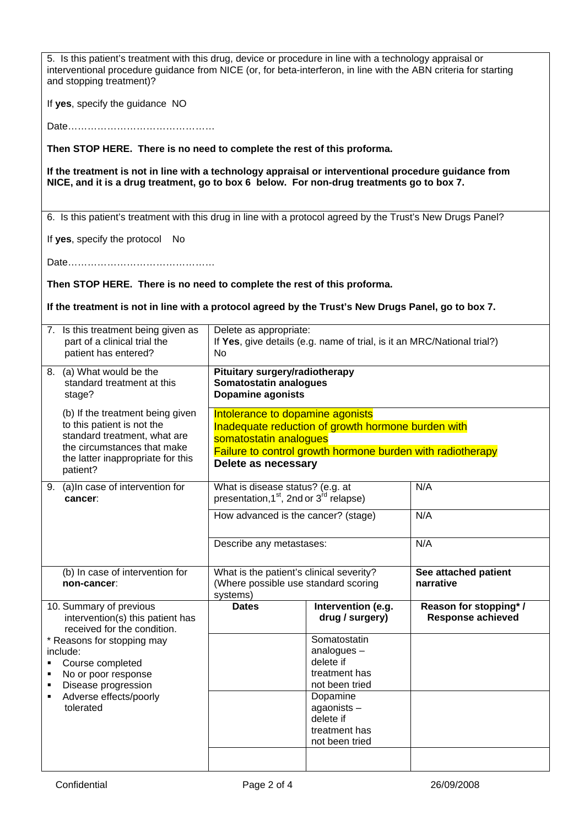| 5. Is this patient's treatment with this drug, device or procedure in line with a technology appraisal or<br>interventional procedure guidance from NICE (or, for beta-interferon, in line with the ABN criteria for starting<br>and stopping treatment)? |                                                                                                                                                                                                       |                                                                         |                                                   |
|-----------------------------------------------------------------------------------------------------------------------------------------------------------------------------------------------------------------------------------------------------------|-------------------------------------------------------------------------------------------------------------------------------------------------------------------------------------------------------|-------------------------------------------------------------------------|---------------------------------------------------|
| If yes, specify the guidance NO                                                                                                                                                                                                                           |                                                                                                                                                                                                       |                                                                         |                                                   |
|                                                                                                                                                                                                                                                           |                                                                                                                                                                                                       |                                                                         |                                                   |
| Then STOP HERE. There is no need to complete the rest of this proforma.                                                                                                                                                                                   |                                                                                                                                                                                                       |                                                                         |                                                   |
| If the treatment is not in line with a technology appraisal or interventional procedure guidance from<br>NICE, and it is a drug treatment, go to box 6 below. For non-drug treatments go to box 7.                                                        |                                                                                                                                                                                                       |                                                                         |                                                   |
| 6. Is this patient's treatment with this drug in line with a protocol agreed by the Trust's New Drugs Panel?                                                                                                                                              |                                                                                                                                                                                                       |                                                                         |                                                   |
| If yes, specify the protocol<br><b>No</b>                                                                                                                                                                                                                 |                                                                                                                                                                                                       |                                                                         |                                                   |
|                                                                                                                                                                                                                                                           |                                                                                                                                                                                                       |                                                                         |                                                   |
| Then STOP HERE. There is no need to complete the rest of this proforma.                                                                                                                                                                                   |                                                                                                                                                                                                       |                                                                         |                                                   |
| If the treatment is not in line with a protocol agreed by the Trust's New Drugs Panel, go to box 7.                                                                                                                                                       |                                                                                                                                                                                                       |                                                                         |                                                   |
| 7. Is this treatment being given as<br>part of a clinical trial the<br>patient has entered?                                                                                                                                                               | Delete as appropriate:<br>No                                                                                                                                                                          | If Yes, give details (e.g. name of trial, is it an MRC/National trial?) |                                                   |
| 8. (a) What would be the<br>standard treatment at this<br>stage?                                                                                                                                                                                          | Pituitary surgery/radiotherapy<br><b>Somatostatin analogues</b><br><b>Dopamine agonists</b>                                                                                                           |                                                                         |                                                   |
| (b) If the treatment being given<br>to this patient is not the<br>standard treatment, what are<br>the circumstances that make<br>the latter inappropriate for this<br>patient?                                                                            | Intolerance to dopamine agonists<br>Inadequate reduction of growth hormone burden with<br>somatostatin analogues<br>Failure to control growth hormone burden with radiotherapy<br>Delete as necessary |                                                                         |                                                   |
| (a) In case of intervention for<br>9<br>cancer:                                                                                                                                                                                                           | What is disease status? (e.g. at<br>presentation, 1 <sup>st</sup> , 2nd or 3 <sup>rd</sup> relapse)                                                                                                   |                                                                         | N/A                                               |
|                                                                                                                                                                                                                                                           | How advanced is the cancer? (stage)                                                                                                                                                                   |                                                                         | N/A                                               |
|                                                                                                                                                                                                                                                           | Describe any metastases:                                                                                                                                                                              |                                                                         | N/A                                               |
| (b) In case of intervention for<br>non-cancer:                                                                                                                                                                                                            | What is the patient's clinical severity?<br>(Where possible use standard scoring<br>systems)                                                                                                          |                                                                         | See attached patient<br>narrative                 |
| 10. Summary of previous<br>intervention(s) this patient has<br>received for the condition.                                                                                                                                                                | <b>Dates</b>                                                                                                                                                                                          | Intervention (e.g.<br>drug / surgery)                                   | Reason for stopping*/<br><b>Response achieved</b> |
| * Reasons for stopping may                                                                                                                                                                                                                                |                                                                                                                                                                                                       | Somatostatin                                                            |                                                   |
| include:<br>Course completed                                                                                                                                                                                                                              |                                                                                                                                                                                                       | analogues $-$<br>delete if                                              |                                                   |
| No or poor response                                                                                                                                                                                                                                       |                                                                                                                                                                                                       | treatment has                                                           |                                                   |
| Disease progression<br>Adverse effects/poorly                                                                                                                                                                                                             |                                                                                                                                                                                                       | not been tried<br>Dopamine                                              |                                                   |
| tolerated                                                                                                                                                                                                                                                 |                                                                                                                                                                                                       | agaonists-                                                              |                                                   |
|                                                                                                                                                                                                                                                           |                                                                                                                                                                                                       | delete if                                                               |                                                   |
|                                                                                                                                                                                                                                                           |                                                                                                                                                                                                       | treatment has<br>not been tried                                         |                                                   |
|                                                                                                                                                                                                                                                           |                                                                                                                                                                                                       |                                                                         |                                                   |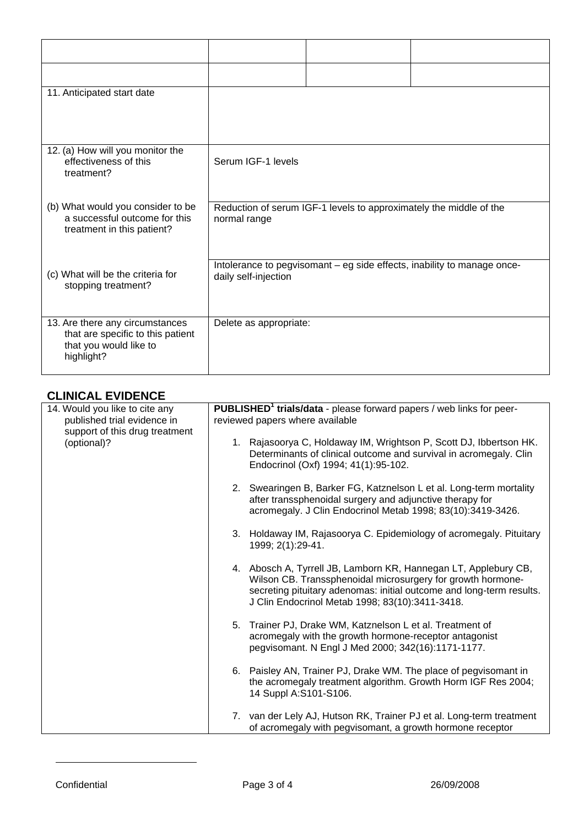| 11. Anticipated start date                                                                                   |                                                                                                 |
|--------------------------------------------------------------------------------------------------------------|-------------------------------------------------------------------------------------------------|
| 12. (a) How will you monitor the<br>effectiveness of this<br>treatment?                                      | Serum IGF-1 levels                                                                              |
| (b) What would you consider to be<br>a successful outcome for this<br>treatment in this patient?             | Reduction of serum IGF-1 levels to approximately the middle of the<br>normal range              |
| (c) What will be the criteria for<br>stopping treatment?                                                     | Intolerance to pegvisomant - eg side effects, inability to manage once-<br>daily self-injection |
| 13. Are there any circumstances<br>that are specific to this patient<br>that you would like to<br>highlight? | Delete as appropriate:                                                                          |

## **CLINICAL EVIDENCE**

| ULINIUAL LVIDLINUL                            |                                                                                                                                                                                                                                                           |  |
|-----------------------------------------------|-----------------------------------------------------------------------------------------------------------------------------------------------------------------------------------------------------------------------------------------------------------|--|
| 14. Would you like to cite any                | <b>PUBLISHED<sup>1</sup></b> trials/data - please forward papers / web links for peer-                                                                                                                                                                    |  |
| published trial evidence in                   | reviewed papers where available                                                                                                                                                                                                                           |  |
| support of this drug treatment<br>(optional)? | 1. Rajasoorya C, Holdaway IM, Wrightson P, Scott DJ, Ibbertson HK.<br>Determinants of clinical outcome and survival in acromegaly. Clin<br>Endocrinol (Oxf) 1994; 41(1):95-102.                                                                           |  |
|                                               | 2. Swearingen B, Barker FG, Katznelson L et al. Long-term mortality<br>after transsphenoidal surgery and adjunctive therapy for<br>acromegaly. J Clin Endocrinol Metab 1998; 83(10):3419-3426.                                                            |  |
|                                               | 3. Holdaway IM, Rajasoorya C. Epidemiology of acromegaly. Pituitary<br>1999; 2(1):29-41.                                                                                                                                                                  |  |
|                                               | 4. Abosch A, Tyrrell JB, Lamborn KR, Hannegan LT, Applebury CB,<br>Wilson CB. Transsphenoidal microsurgery for growth hormone-<br>secreting pituitary adenomas: initial outcome and long-term results.<br>J Clin Endocrinol Metab 1998; 83(10):3411-3418. |  |
|                                               | Trainer PJ, Drake WM, Katznelson L et al. Treatment of<br>5.<br>acromegaly with the growth hormone-receptor antagonist<br>pegvisomant. N Engl J Med 2000; 342(16):1171-1177.                                                                              |  |
|                                               | 6. Paisley AN, Trainer PJ, Drake WM. The place of pegvisomant in<br>the acromegaly treatment algorithm. Growth Horm IGF Res 2004;<br>14 Suppl A:S101-S106.                                                                                                |  |
|                                               | 7. van der Lely AJ, Hutson RK, Trainer PJ et al. Long-term treatment<br>of acromegaly with pegvisomant, a growth hormone receptor                                                                                                                         |  |

 $\overline{a}$